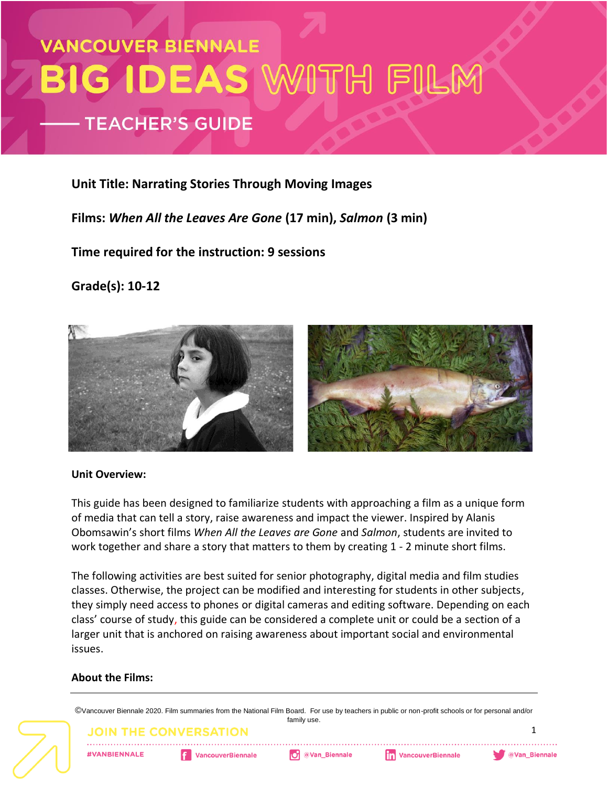# **VANCOUVER BIENNALE** BIG IDEAS WITH FILM **TEACHER'S GUIDE**

#### **Unit Title: Narrating Stories Through Moving Images**

**Films:** *When All the Leaves Are Gone* **(17 min),** *Salmon* **(3 min)**

**Time required for the instruction: 9 sessions** 

**Grade(s): 10-12**



#### **Unit Overview:**

This guide has been designed to familiarize students with approaching a film as a unique form of media that can tell a story, raise awareness and impact the viewer. Inspired by Alanis Obomsawin's short films *When All the Leaves are Gone* and *Salmon*, students are invited to work together and share a story that matters to them by creating 1 - 2 minute short films.

The following activities are best suited for senior photography, digital media and film studies classes. Otherwise, the project can be modified and interesting for students in other subjects, they simply need access to phones or digital cameras and editing software. Depending on each class' course of study, this guide can be considered a complete unit or could be a section of a larger unit that is anchored on raising awareness about important social and environmental issues.

#### **About the Films:**

©Vancouver Biennale 2020. Film summaries from the National Film Board. For use by teachers in public or non-profit schools or for personal and/or family use.

JOIN THE CONVERS

**#VANBIENNALE** 

**VancouverBiennale** 

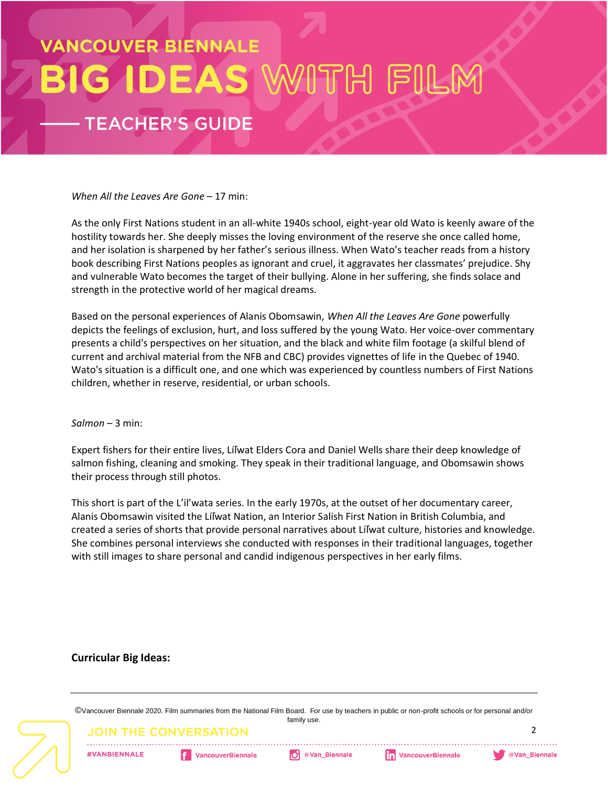# **/ANCOUVER BIENNALE G IDEAS TEACHER'S GUIDE**

*When All the Leaves Are Gone* – 17 min:

As the only First Nations student in an all-white 1940s school, eight-year old Wato is keenly aware of the hostility towards her. She deeply misses the loving environment of the reserve she once called home, and her isolation is sharpened by her father's serious illness. When Wato's teacher reads from a history book describing First Nations peoples as ignorant and cruel, it aggravates her classmates' prejudice. Shy and vulnerable Wato becomes the target of their bullying. Alone in her suffering, she finds solace and strength in the protective world of her magical dreams.

Based on the personal experiences of Alanis Obomsawin, *When All the Leaves Are Gone* powerfully depicts the feelings of exclusion, hurt, and loss suffered by the young Wato. Her voice-over commentary presents a child's perspectives on her situation, and the black and white film footage (a skilful blend of current and archival material from the NFB and CBC) provides vignettes of life in the Quebec of 1940. Wato's situation is a difficult one, and one which was experienced by countless numbers of First Nations children, whether in reserve, residential, or urban schools.

#### *Salmon* – 3 min:

Expert fishers for their entire lives, Líl̓wat Elders Cora and Daniel Wells share their deep knowledge of salmon fishing, cleaning and smoking. They speak in their traditional language, and Obomsawin shows their process through still photos.

This short is part of the L'il'wata series. In the early 1970s, at the outset of her documentary career, Alanis Obomsawin visited the Líl̓wat Nation, an Interior Salish First Nation in British Columbia, and created a series of shorts that provide personal narratives about Líl̓wat culture, histories and knowledge. She combines personal interviews she conducted with responses in their traditional languages, together with still images to share personal and candid indigenous perspectives in her early films.

#### **Curricular Big Ideas:**

©Vancouver Biennale 2020. Film summaries from the National Film Board. For use by teachers in public or non-profit schools or for personal and/or family use.

JOIN THE (

**#VANBIENNALE** 

**VancouverBiennale** 

 $\overline{\phantom{a}}$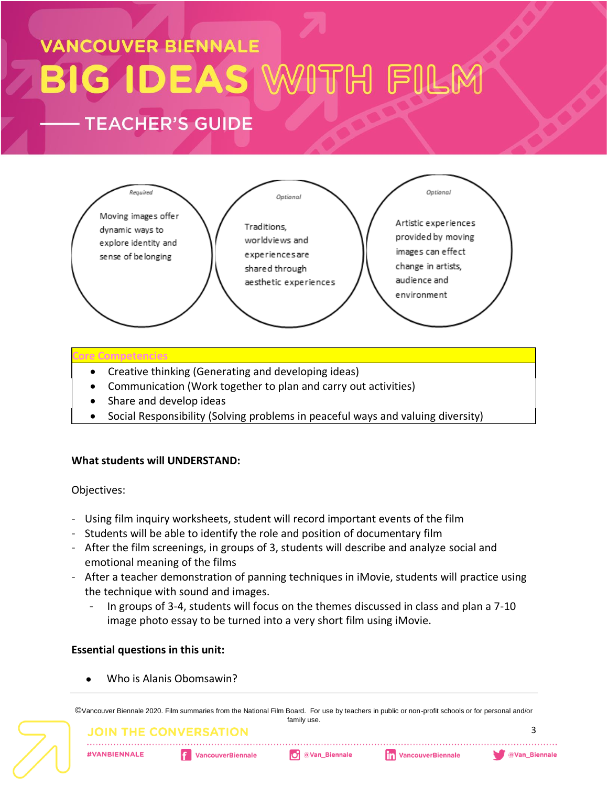### **VANCOUVER BIENNALE** G IDEAS WITH FILL Błl **TEACHER'S GUIDE**



#### **Core Competencies**

- Creative thinking (Generating and developing ideas)
- Communication (Work together to plan and carry out activities)
- Share and develop ideas
- Social Responsibility (Solving problems in peaceful ways and valuing diversity)

#### **What students will UNDERSTAND:**

#### Objectives:

- Using film inquiry worksheets, student will record important events of the film
- Students will be able to identify the role and position of documentary film
- After the film screenings, in groups of 3, students will describe and analyze social and emotional meaning of the films
- After a teacher demonstration of panning techniques in iMovie, students will practice using the technique with sound and images.
	- In groups of 3-4, students will focus on the themes discussed in class and plan a 7-10 image photo essay to be turned into a very short film using iMovie.

#### **Essential questions in this unit:**

Who is Alanis Obomsawin?

©Vancouver Biennale 2020. Film summaries from the National Film Board. For use by teachers in public or non-profit schools or for personal and/or family use.

#### **JOIN THE CONVERSATION**

**#VANBIENNALE**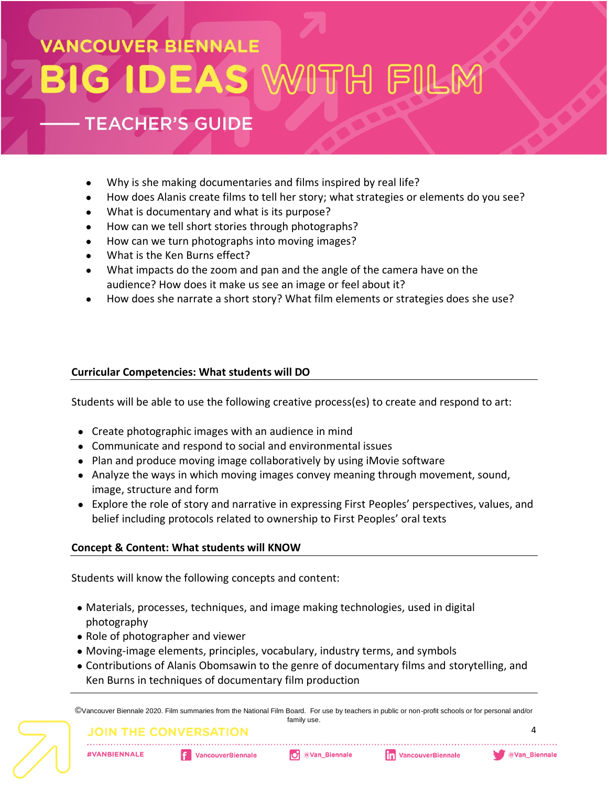# **ANCOUVER BIENNALE G IDEAS**

### **TEACHER'S GUIDE**

- Why is she making documentaries and films inspired by real life?
- How does Alanis create films to tell her story; what strategies or elements do you see?
- What is documentary and what is its purpose?
- How can we tell short stories through photographs?
- How can we turn photographs into moving images?
- What is the Ken Burns effect?
- What impacts do the zoom and pan and the angle of the camera have on the audience? How does it make us see an image or feel about it?
- How does she narrate a short story? What film elements or strategies does she use?

#### **Curricular Competencies: What students will DO**

Students will be able to use the following creative process(es) to create and respond to art:

- Create photographic images with an audience in mind
- Communicate and respond to social and environmental issues
- Plan and produce moving image collaboratively by using iMovie software
- Analyze the ways in which moving images convey meaning through movement, sound, image, structure and form
- Explore the role of story and narrative in expressing First Peoples' perspectives, values, and belief including protocols related to ownership to First Peoples' oral texts

#### **Concept & Content: What students will KNOW**

Students will know the following concepts and content:

- Materials, processes, techniques, and image making technologies, used in digital photography
- Role of photographer and viewer
- Moving-image elements, principles, vocabulary, industry terms, and symbols
- Contributions of Alanis Obomsawin to the genre of documentary films and storytelling, and Ken Burns in techniques of documentary film production

©Vancouver Biennale 2020. Film summaries from the National Film Board. For use by teachers in public or non-profit schools or for personal and/or family use.

#### JOIN THE CONVEI

**#VANBIENNALE** 

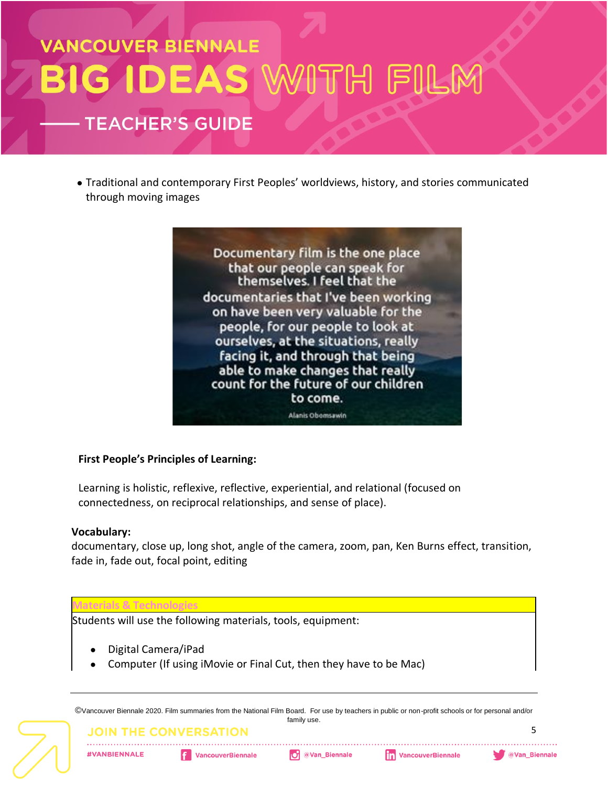## **VANCOUVER BIENNALE** G IDEAS WITH FILI Bł **TEACHER'S GUIDE**

● Traditional and contemporary First Peoples' worldviews, history, and stories communicated through moving images



#### **First People's Principles of Learning:**

Learning is holistic, reflexive, reflective, experiential, and relational (focused on connectedness, on reciprocal relationships, and sense of place).

#### **Vocabulary:**

documentary, close up, long shot, angle of the camera, zoom, pan, Ken Burns effect, transition, fade in, fade out, focal point, editing

#### **Materials & Technologies**

Students will use the following materials, tools, equipment:

- Digital Camera/iPad
- Computer (If using iMovie or Final Cut, then they have to be Mac)

©Vancouver Biennale 2020. Film summaries from the National Film Board. For use by teachers in public or non-profit schools or for personal and/or family use.

JOIN THE CONVERS

**#VANBIENNALE** 

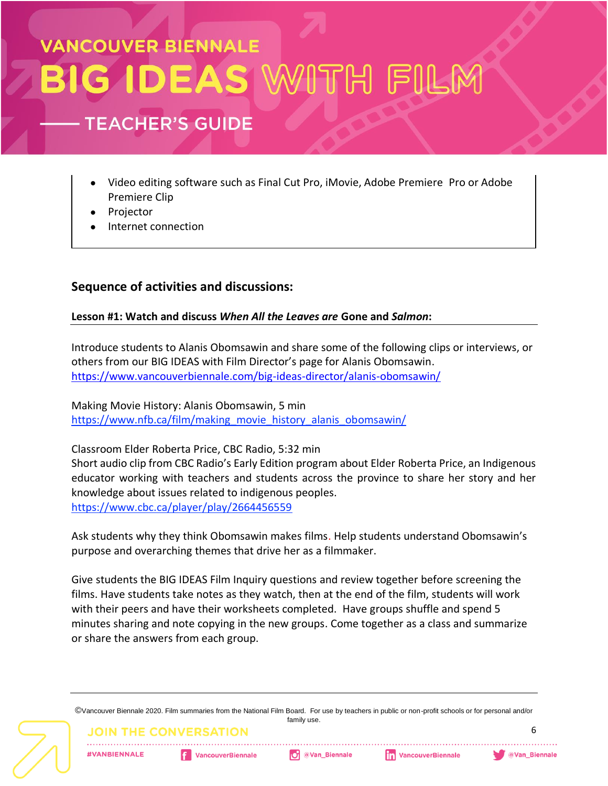# **VANCOUVER BIENNALE GIDEAS**

### **TEACHER'S GUIDE**

- Video editing software such as Final Cut Pro, iMovie, Adobe Premiere Pro or Adobe Premiere Clip
- Projector
- Internet connection

#### **Sequence of activities and discussions:**

#### **Lesson #1: Watch and discuss** *When All the Leaves are* **Gone and** *Salmon***:**

Introduce students to Alanis Obomsawin and share some of the following clips or interviews, or others from our BIG IDEAS with Film Director's page for Alanis Obomsawin. <https://www.vancouverbiennale.com/big-ideas-director/alanis-obomsawin/>

Making Movie History: Alanis Obomsawin, 5 min [https://www.nfb.ca/film/making\\_movie\\_history\\_alanis\\_obomsawin/](https://www.nfb.ca/film/making_movie_history_alanis_obomsawin/)

Classroom Elder Roberta Price, CBC Radio, 5:32 min Short audio clip from CBC Radio's Early Edition program about Elder Roberta Price, an Indigenous educator working with teachers and students across the province to share her story and her knowledge about issues related to indigenous peoples. <https://www.cbc.ca/player/play/2664456559>

Ask students why they think Obomsawin makes films. Help students understand Obomsawin's purpose and overarching themes that drive her as a filmmaker.

Give students the BIG IDEAS Film Inquiry questions and review together before screening the films. Have students take notes as they watch, then at the end of the film, students will work with their peers and have their worksheets completed. Have groups shuffle and spend 5 minutes sharing and note copying in the new groups. Come together as a class and summarize or share the answers from each group.

©Vancouver Biennale 2020. Film summaries from the National Film Board. For use by teachers in public or non-profit schools or for personal and/or family use.

JOIN THE CONVER

**#VANBIENNALE** 

**VancouverBiennale**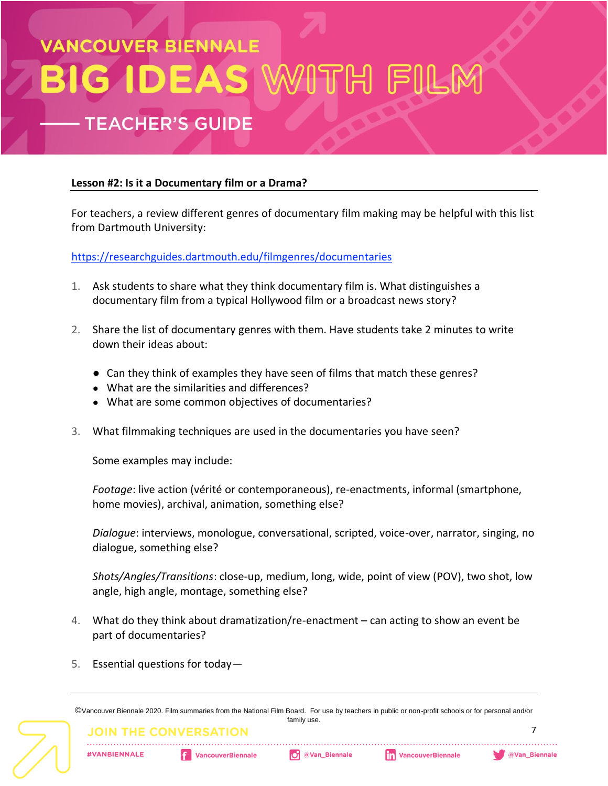## **ANCOUVER BIENNALE IDEAS TEACHER'S GUIDE**

#### **Lesson #2: Is it a Documentary film or a Drama?**

For teachers, a review different genres of documentary film making may be helpful with this list from Dartmouth University:

<https://researchguides.dartmouth.edu/filmgenres/documentaries>

- 1. Ask students to share what they think documentary film is. What distinguishes a documentary film from a typical Hollywood film or a broadcast news story?
- 2. Share the list of documentary genres with them. Have students take 2 minutes to write down their ideas about:
	- Can they think of examples they have seen of films that match these genres?
	- What are the similarities and differences?
	- What are some common objectives of documentaries?
- 3. What filmmaking techniques are used in the documentaries you have seen?

Some examples may include:

*Footage*: live action (vérité or contemporaneous), re-enactments, informal (smartphone, home movies), archival, animation, something else?

*Dialogue*: interviews, monologue, conversational, scripted, voice-over, narrator, singing, no dialogue, something else?

*Shots/Angles/Transitions*: close-up, medium, long, wide, point of view (POV), two shot, low angle, high angle, montage, something else?

- 4. What do they think about dramatization/re-enactment can acting to show an event be part of documentaries?
- 5. Essential questions for today—

©Vancouver Biennale 2020. Film summaries from the National Film Board. For use by teachers in public or non-profit schools or for personal and/or family use.

**THE CONV** 

**#VANBIENNALE**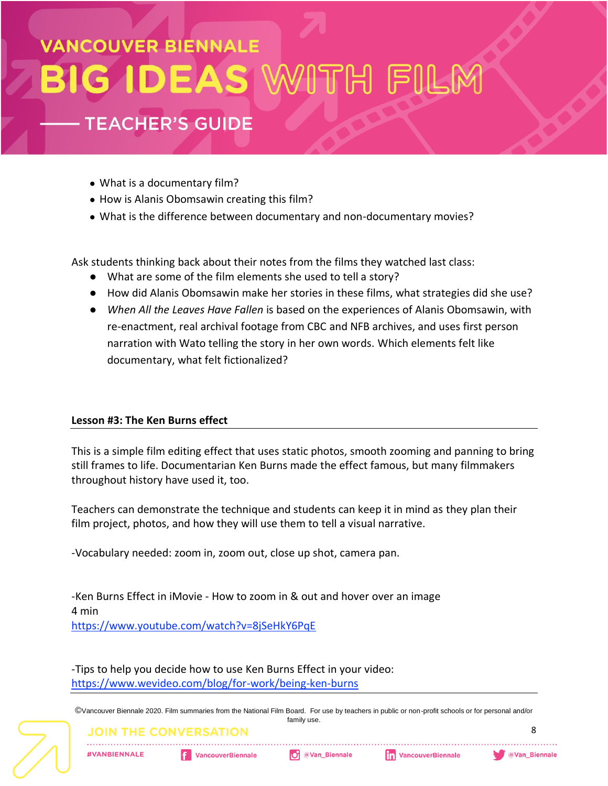## **VANCOUVER BIENNALE GIDEAS TEACHER'S GUIDE**

- What is a documentary film?
- How is Alanis Obomsawin creating this film?
- What is the difference between documentary and non-documentary movies?

Ask students thinking back about their notes from the films they watched last class:

- What are some of the film elements she used to tell a story?
- How did Alanis Obomsawin make her stories in these films, what strategies did she use?
- *When All the Leaves Have Fallen* is based on the experiences of Alanis Obomsawin, with re-enactment, real archival footage from CBC and NFB archives, and uses first person narration with Wato telling the story in her own words. Which elements felt like documentary, what felt fictionalized?

#### **Lesson #3: The Ken Burns effect**

This is a simple film editing effect that uses static photos, smooth zooming and panning to bring still frames to life. Documentarian Ken Burns made the effect famous, but many filmmakers throughout history have used it, too.

Teachers can demonstrate the technique and students can keep it in mind as they plan their film project, photos, and how they will use them to tell a visual narrative.

-Vocabulary needed: zoom in, zoom out, close up shot, camera pan.

-Ken Burns Effect in iMovie - How to zoom in & out and hover over an image 4 min <https://www.youtube.com/watch?v=8jSeHkY6PqE>

-Tips to help you decide how to use Ken Burns Effect in your video: <https://www.wevideo.com/blog/for-work/being-ken-burns>

©Vancouver Biennale 2020. Film summaries from the National Film Board. For use by teachers in public or non-profit schools or for personal and/or family use.

### **JOIN THE CONVERS**

**#VANBIENNALE** 

**VancouverBiennale**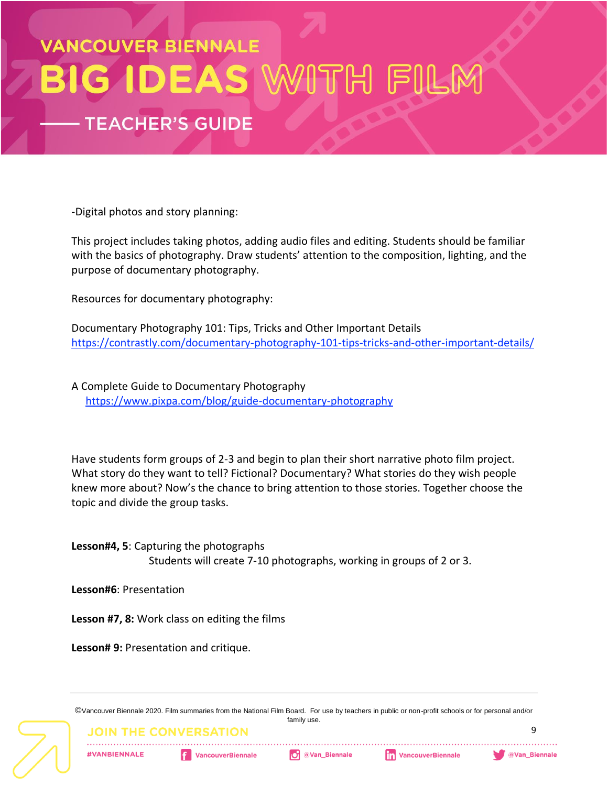### **VANCOUVER BIENNALE GIDEAS B TEACHER'S GUIDE**

-Digital photos and story planning:

This project includes taking photos, adding audio files and editing. Students should be familiar with the basics of photography. Draw students' attention to the composition, lighting, and the purpose of documentary photography.

Resources for documentary photography:

Documentary Photography 101: Tips, Tricks and Other Important Details <https://contrastly.com/documentary-photography-101-tips-tricks-and-other-important-details/>

A Complete Guide to Documentary Photography <https://www.pixpa.com/blog/guide-documentary-photography>

Have students form groups of 2-3 and begin to plan their short narrative photo film project. What story do they want to tell? Fictional? Documentary? What stories do they wish people knew more about? Now's the chance to bring attention to those stories. Together choose the topic and divide the group tasks.

**Lesson#4, 5**: Capturing the photographs Students will create 7-10 photographs, working in groups of 2 or 3.

**Lesson#6**: Presentation

**Lesson #7, 8:** Work class on editing the films

**Lesson# 9:** Presentation and critique.

©Vancouver Biennale 2020. Film summaries from the National Film Board. For use by teachers in public or non-profit schools or for personal and/or family use.

**JOIN THE CONVEI** 

**#VANBIENNALE** 

**VancouverBiennale**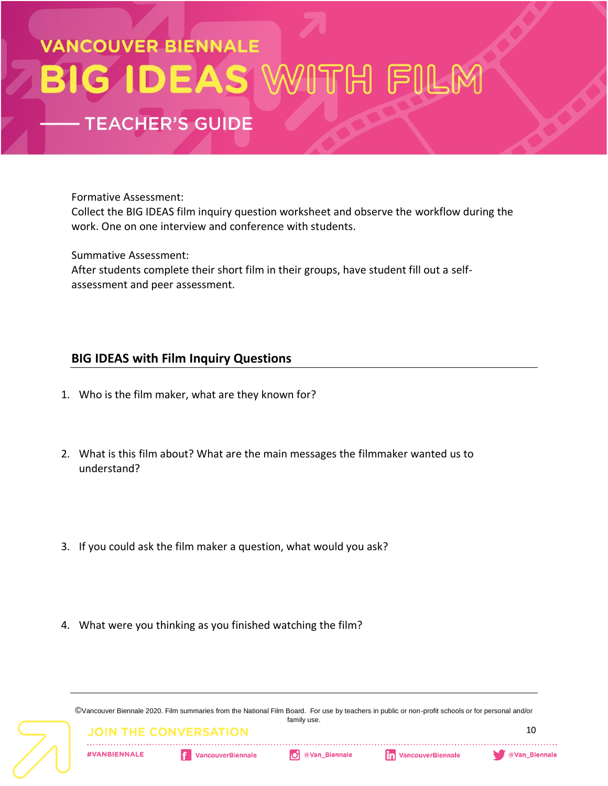### VANCOUVER BIENNALE **GIDEAS V** Błl TH FILI **TEACHER'S GUIDE**

Formative Assessment:

Collect the BIG IDEAS film inquiry question worksheet and observe the workflow during the work. One on one interview and conference with students.

Summative Assessment:

After students complete their short film in their groups, have student fill out a selfassessment and peer assessment.

#### **BIG IDEAS with Film Inquiry Questions**

- 1. Who is the film maker, what are they known for?
- 2. What is this film about? What are the main messages the filmmaker wanted us to understand?
- 3. If you could ask the film maker a question, what would you ask?
- 4. What were you thinking as you finished watching the film?

©Vancouver Biennale 2020. Film summaries from the National Film Board. For use by teachers in public or non-profit schools or for personal and/or family use.

**#VANBIENNALE** 

**VancouverBiennale** 

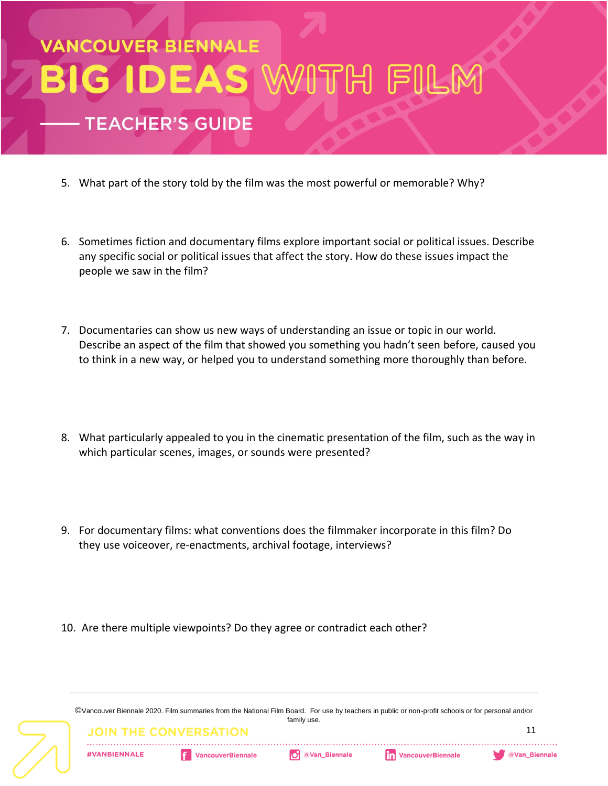

- 5. What part of the story told by the film was the most powerful or memorable? Why?
- 6. Sometimes fiction and documentary films explore important social or political issues. Describe any specific social or political issues that affect the story. How do these issues impact the people we saw in the film?
- 7. Documentaries can show us new ways of understanding an issue or topic in our world. Describe an aspect of the film that showed you something you hadn't seen before, caused you to think in a new way, or helped you to understand something more thoroughly than before.
- 8. What particularly appealed to you in the cinematic presentation of the film, such as the way in which particular scenes, images, or sounds were presented?
- 9. For documentary films: what conventions does the filmmaker incorporate in this film? Do they use voiceover, re-enactments, archival footage, interviews?
- 10. Are there multiple viewpoints? Do they agree or contradict each other?

©Vancouver Biennale 2020. Film summaries from the National Film Board. For use by teachers in public or non-profit schools or for personal and/or family use.

**#VANBIENNALE** 

JOIN THE (

**VancouverBiennale**